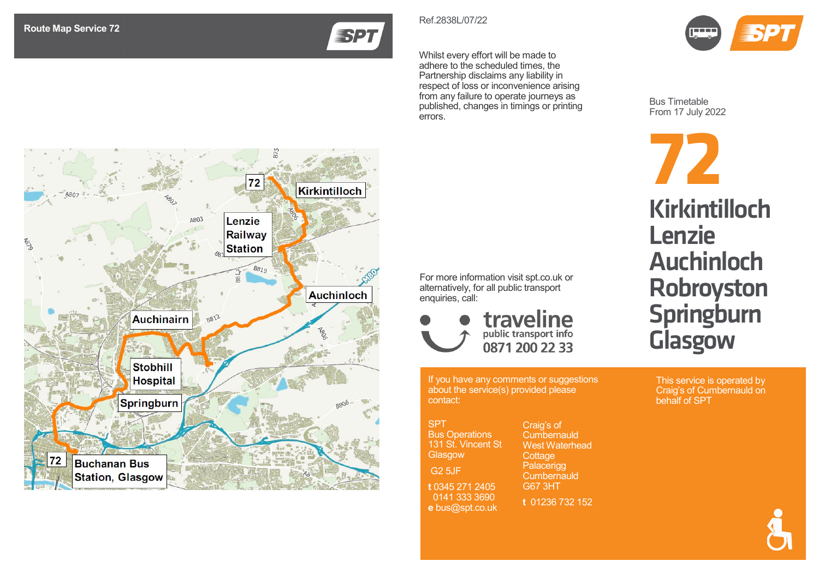**ESPT** 

Whilst every effort will be made to adhere to the scheduled times, the Partnership disclaims any liability in respect of loss or inconvenience arising from any failure to operate journeys as published, changes in timings or printing errors.

Ref.2838 L /07 /22



Bus Timetable From 17 July 202 2



This service is operated by Craig's of Cumbernauld on behalf of SPT



For more information visit spt.co.uk or alternatively, for all public transport enquiries, call:



If you have any comments or suggestions about the service(s) provided please contact:

| <b>SPT</b>            |  |
|-----------------------|--|
| <b>Bus Operations</b> |  |
| 131 St. Vincent St    |  |
| Glasgow               |  |
| G <sub>2</sub> 5JF    |  |
|                       |  |
| t 0345 271 2405       |  |
| 0141 333 3690         |  |
| e bus@spt.co.uk       |  |

Craig's of **Cumbernauld** West Waterhead **Cottage** Palacerigg **Cumbernauld** G67 3HT **t** 01236 732 152